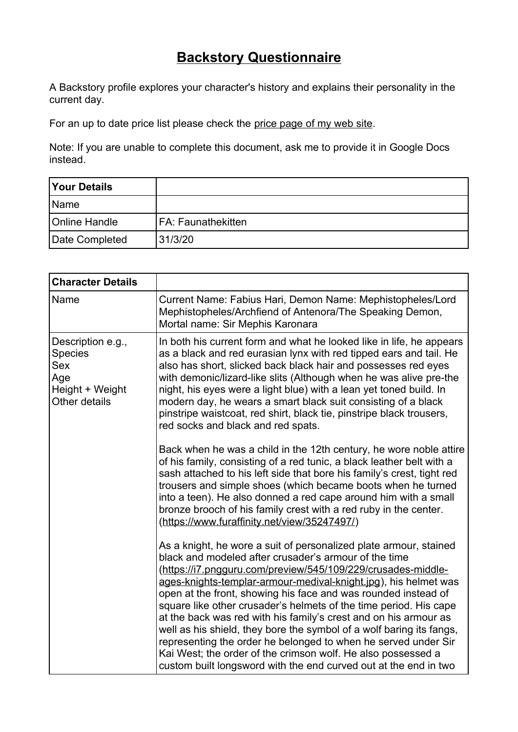## **Backstory Questionnaire**

A Backstory profile explores your character's history and explains their personality in the current day.

For an up to date price list please check the [price page of my web site](https://www.thecharacterconsultancy.co.uk/pricelist.htm).

Note: If you are unable to complete this document, ask me to provide it in Google Docs instead.

| <b>Your Details</b>  |                    |
|----------------------|--------------------|
| <b>Name</b>          |                    |
| <b>Online Handle</b> | FA: Faunathekitten |
| Date Completed       | 31/3/20            |

| <b>Character Details</b>                                                              |                                                                                                                                                                                                                                                                                                                                                                                                                                                                                                                                                                                                                                                                                                                                                        |
|---------------------------------------------------------------------------------------|--------------------------------------------------------------------------------------------------------------------------------------------------------------------------------------------------------------------------------------------------------------------------------------------------------------------------------------------------------------------------------------------------------------------------------------------------------------------------------------------------------------------------------------------------------------------------------------------------------------------------------------------------------------------------------------------------------------------------------------------------------|
| Name                                                                                  | Current Name: Fabius Hari, Demon Name: Mephistopheles/Lord<br>Mephistopheles/Archfiend of Antenora/The Speaking Demon,<br>Mortal name: Sir Mephis Karonara                                                                                                                                                                                                                                                                                                                                                                                                                                                                                                                                                                                             |
| Description e.g.,<br><b>Species</b><br>Sex<br>Age<br>Height + Weight<br>Other details | In both his current form and what he looked like in life, he appears<br>as a black and red eurasian lynx with red tipped ears and tail. He<br>also has short, slicked back black hair and possesses red eyes<br>with demonic/lizard-like slits (Although when he was alive pre-the<br>night, his eyes were a light blue) with a lean yet toned build. In<br>modern day, he wears a smart black suit consisting of a black<br>pinstripe waistcoat, red shirt, black tie, pinstripe black trousers,<br>red socks and black and red spats.                                                                                                                                                                                                                |
|                                                                                       | Back when he was a child in the 12th century, he wore noble attire<br>of his family, consisting of a red tunic, a black leather belt with a<br>sash attached to his left side that bore his family's crest, tight red<br>trousers and simple shoes (which became boots when he turned<br>into a teen). He also donned a red cape around him with a small<br>bronze brooch of his family crest with a red ruby in the center.<br>(https://www.furaffinity.net/view/35247497/)                                                                                                                                                                                                                                                                           |
|                                                                                       | As a knight, he wore a suit of personalized plate armour, stained<br>black and modeled after crusader's armour of the time<br>(https://i7.pngguru.com/preview/545/109/229/crusades-middle-<br>ages-knights-templar-armour-medival-knight.jpg), his helmet was<br>open at the front, showing his face and was rounded instead of<br>square like other crusader's helmets of the time period. His cape<br>at the back was red with his family's crest and on his armour as<br>well as his shield, they bore the symbol of a wolf baring its fangs,<br>representing the order he belonged to when he served under Sir<br>Kai West; the order of the crimson wolf. He also possessed a<br>custom built longsword with the end curved out at the end in two |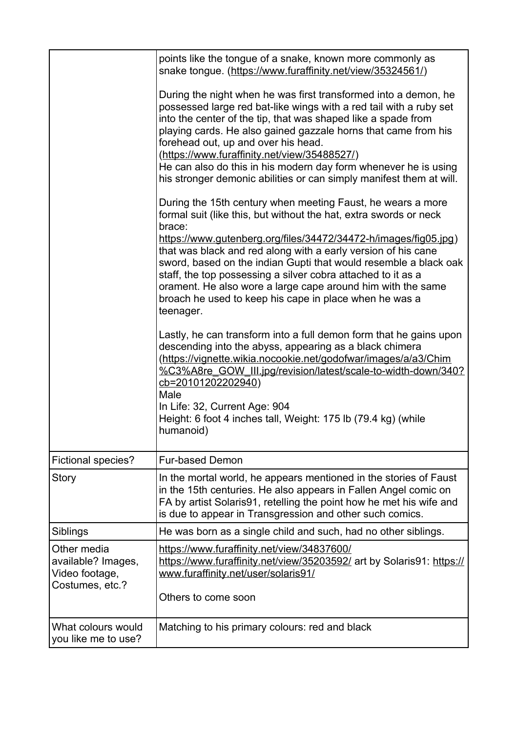|                                                                        | points like the tongue of a snake, known more commonly as<br>snake tongue. (https://www.furaffinity.net/view/35324561/)                                                                                                                                                                                                                                                                                                                                                                                                                                  |
|------------------------------------------------------------------------|----------------------------------------------------------------------------------------------------------------------------------------------------------------------------------------------------------------------------------------------------------------------------------------------------------------------------------------------------------------------------------------------------------------------------------------------------------------------------------------------------------------------------------------------------------|
|                                                                        | During the night when he was first transformed into a demon, he<br>possessed large red bat-like wings with a red tail with a ruby set<br>into the center of the tip, that was shaped like a spade from<br>playing cards. He also gained gazzale horns that came from his<br>forehead out, up and over his head.<br>(https://www.furaffinity.net/view/35488527/)<br>He can also do this in his modern day form whenever he is using<br>his stronger demonic abilities or can simply manifest them at will.                                                |
|                                                                        | During the 15th century when meeting Faust, he wears a more<br>formal suit (like this, but without the hat, extra swords or neck<br>brace:<br>https://www.gutenberg.org/files/34472/34472-h/images/fig05.jpg)<br>that was black and red along with a early version of his cane<br>sword, based on the indian Gupti that would resemble a black oak<br>staff, the top possessing a silver cobra attached to it as a<br>orament. He also wore a large cape around him with the same<br>broach he used to keep his cape in place when he was a<br>teenager. |
|                                                                        | Lastly, he can transform into a full demon form that he gains upon<br>descending into the abyss, appearing as a black chimera<br>(https://vignette.wikia.nocookie.net/godofwar/images/a/a3/Chim<br>%C3%A8re_GOW_III.jpg/revision/latest/scale-to-width-down/340?<br>cb=20101202202940)<br>Male<br>In Life: 32, Current Age: 904<br>Height: 6 foot 4 inches tall, Weight: 175 lb (79.4 kg) (while<br>humanoid)                                                                                                                                            |
| <b>Fictional species?</b>                                              | <b>Fur-based Demon</b>                                                                                                                                                                                                                                                                                                                                                                                                                                                                                                                                   |
| Story                                                                  | In the mortal world, he appears mentioned in the stories of Faust<br>in the 15th centuries. He also appears in Fallen Angel comic on<br>FA by artist Solaris91, retelling the point how he met his wife and<br>is due to appear in Transgression and other such comics.                                                                                                                                                                                                                                                                                  |
| Siblings                                                               | He was born as a single child and such, had no other siblings.                                                                                                                                                                                                                                                                                                                                                                                                                                                                                           |
| Other media<br>available? Images,<br>Video footage,<br>Costumes, etc.? | https://www.furaffinity.net/view/34837600/<br>https://www.furaffinity.net/view/35203592/ art by Solaris91: https://<br>www.furaffinity.net/user/solaris91/<br>Others to come soon                                                                                                                                                                                                                                                                                                                                                                        |
| What colours would<br>you like me to use?                              | Matching to his primary colours: red and black                                                                                                                                                                                                                                                                                                                                                                                                                                                                                                           |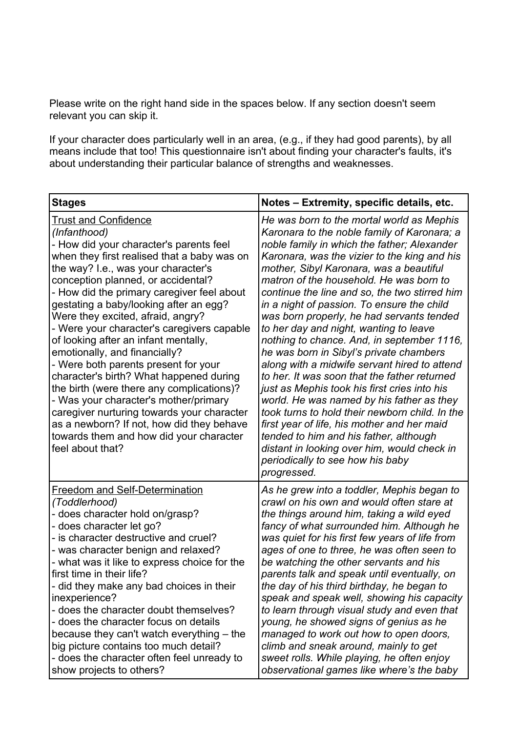Please write on the right hand side in the spaces below. If any section doesn't seem relevant you can skip it.

If your character does particularly well in an area, (e.g., if they had good parents), by all means include that too! This questionnaire isn't about finding your character's faults, it's about understanding their particular balance of strengths and weaknesses.

| <b>Stages</b>                                                                                                                                                                                                                                                                                                                                                                                                                                                                                                                                                                                                                                                                                                                                                                                             | Notes - Extremity, specific details, etc.                                                                                                                                                                                                                                                                                                                                                                                                                                                                                                                                                                                                                                                                                                                                                                                                                                                                                                                                                              |
|-----------------------------------------------------------------------------------------------------------------------------------------------------------------------------------------------------------------------------------------------------------------------------------------------------------------------------------------------------------------------------------------------------------------------------------------------------------------------------------------------------------------------------------------------------------------------------------------------------------------------------------------------------------------------------------------------------------------------------------------------------------------------------------------------------------|--------------------------------------------------------------------------------------------------------------------------------------------------------------------------------------------------------------------------------------------------------------------------------------------------------------------------------------------------------------------------------------------------------------------------------------------------------------------------------------------------------------------------------------------------------------------------------------------------------------------------------------------------------------------------------------------------------------------------------------------------------------------------------------------------------------------------------------------------------------------------------------------------------------------------------------------------------------------------------------------------------|
| <b>Trust and Confidence</b><br>(Infanthood)<br>- How did your character's parents feel<br>when they first realised that a baby was on<br>the way? I.e., was your character's<br>conception planned, or accidental?<br>- How did the primary caregiver feel about<br>gestating a baby/looking after an egg?<br>Were they excited, afraid, angry?<br>- Were your character's caregivers capable<br>of looking after an infant mentally,<br>emotionally, and financially?<br>- Were both parents present for your<br>character's birth? What happened during<br>the birth (were there any complications)?<br>- Was your character's mother/primary<br>caregiver nurturing towards your character<br>as a newborn? If not, how did they behave<br>towards them and how did your character<br>feel about that? | He was born to the mortal world as Mephis<br>Karonara to the noble family of Karonara; a<br>noble family in which the father; Alexander<br>Karonara, was the vizier to the king and his<br>mother, Sibyl Karonara, was a beautiful<br>matron of the household. He was born to<br>continue the line and so, the two stirred him<br>in a night of passion. To ensure the child<br>was born properly, he had servants tended<br>to her day and night, wanting to leave<br>nothing to chance. And, in september 1116,<br>he was born in Sibyl's private chambers<br>along with a midwife servant hired to attend<br>to her. It was soon that the father returned<br>just as Mephis took his first cries into his<br>world. He was named by his father as they<br>took turns to hold their newborn child. In the<br>first year of life, his mother and her maid<br>tended to him and his father, although<br>distant in looking over him, would check in<br>periodically to see how his baby<br>progressed. |
| <b>Freedom and Self-Determination</b><br>(Toddlerhood)<br>- does character hold on/grasp?<br>- does character let go?<br>- is character destructive and cruel?<br>- was character benign and relaxed?<br>- what was it like to express choice for the<br>first time in their life?<br>- did they make any bad choices in their<br>inexperience?<br>- does the character doubt themselves?<br>- does the character focus on details<br>because they can't watch everything - the<br>big picture contains too much detail?<br>- does the character often feel unready to<br>show projects to others?                                                                                                                                                                                                        | As he grew into a toddler, Mephis began to<br>crawl on his own and would often stare at<br>the things around him, taking a wild eyed<br>fancy of what surrounded him. Although he<br>was quiet for his first few years of life from<br>ages of one to three, he was often seen to<br>be watching the other servants and his<br>parents talk and speak until eventually, on<br>the day of his third birthday, he began to<br>speak and speak well, showing his capacity<br>to learn through visual study and even that<br>young, he showed signs of genius as he<br>managed to work out how to open doors,<br>climb and sneak around, mainly to get<br>sweet rolls. While playing, he often enjoy<br>observational games like where's the baby                                                                                                                                                                                                                                                          |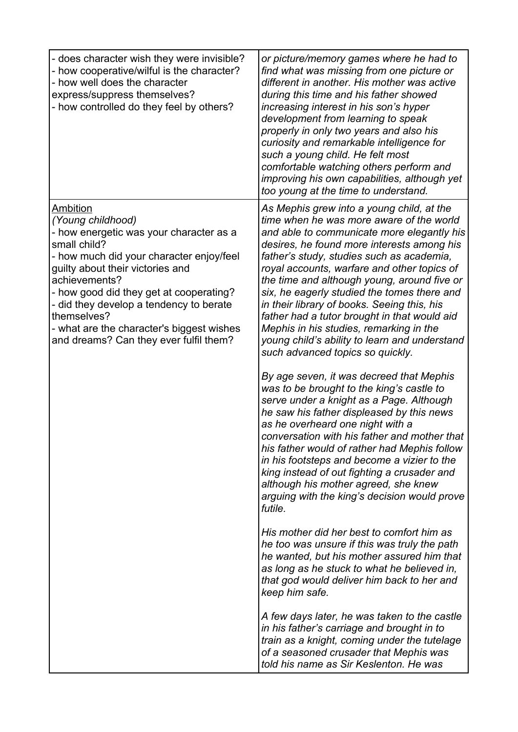| - does character wish they were invisible?<br>- how cooperative/wilful is the character?<br>- how well does the character<br>express/suppress themselves?<br>- how controlled do they feel by others?                                                                                                                                                                                 | or picture/memory games where he had to<br>find what was missing from one picture or<br>different in another. His mother was active<br>during this time and his father showed<br>increasing interest in his son's hyper<br>development from learning to speak<br>properly in only two years and also his<br>curiosity and remarkable intelligence for<br>such a young child. He felt most<br>comfortable watching others perform and<br>improving his own capabilities, although yet<br>too young at the time to understand.                                                                               |
|---------------------------------------------------------------------------------------------------------------------------------------------------------------------------------------------------------------------------------------------------------------------------------------------------------------------------------------------------------------------------------------|------------------------------------------------------------------------------------------------------------------------------------------------------------------------------------------------------------------------------------------------------------------------------------------------------------------------------------------------------------------------------------------------------------------------------------------------------------------------------------------------------------------------------------------------------------------------------------------------------------|
| Ambition<br>(Young childhood)<br>- how energetic was your character as a<br>small child?<br>- how much did your character enjoy/feel<br>guilty about their victories and<br>achievements?<br>- how good did they get at cooperating?<br>- did they develop a tendency to berate<br>themselves?<br>- what are the character's biggest wishes<br>and dreams? Can they ever fulfil them? | As Mephis grew into a young child, at the<br>time when he was more aware of the world<br>and able to communicate more elegantly his<br>desires, he found more interests among his<br>father's study, studies such as academia,<br>royal accounts, warfare and other topics of<br>the time and although young, around five or<br>six, he eagerly studied the tomes there and<br>in their library of books. Seeing this, his<br>father had a tutor brought in that would aid<br>Mephis in his studies, remarking in the<br>young child's ability to learn and understand<br>such advanced topics so quickly. |
|                                                                                                                                                                                                                                                                                                                                                                                       | By age seven, it was decreed that Mephis<br>was to be brought to the king's castle to<br>serve under a knight as a Page. Although<br>he saw his father displeased by this news<br>as he overheard one night with a<br>conversation with his father and mother that<br>his father would of rather had Mephis follow<br>in his footsteps and become a vizier to the<br>king instead of out fighting a crusader and<br>although his mother agreed, she knew<br>arguing with the king's decision would prove<br>futile.                                                                                        |
|                                                                                                                                                                                                                                                                                                                                                                                       | His mother did her best to comfort him as<br>he too was unsure if this was truly the path<br>he wanted, but his mother assured him that<br>as long as he stuck to what he believed in,<br>that god would deliver him back to her and<br>keep him safe.                                                                                                                                                                                                                                                                                                                                                     |
|                                                                                                                                                                                                                                                                                                                                                                                       | A few days later, he was taken to the castle<br>in his father's carriage and brought in to<br>train as a knight, coming under the tutelage<br>of a seasoned crusader that Mephis was<br>told his name as Sir Keslenton. He was                                                                                                                                                                                                                                                                                                                                                                             |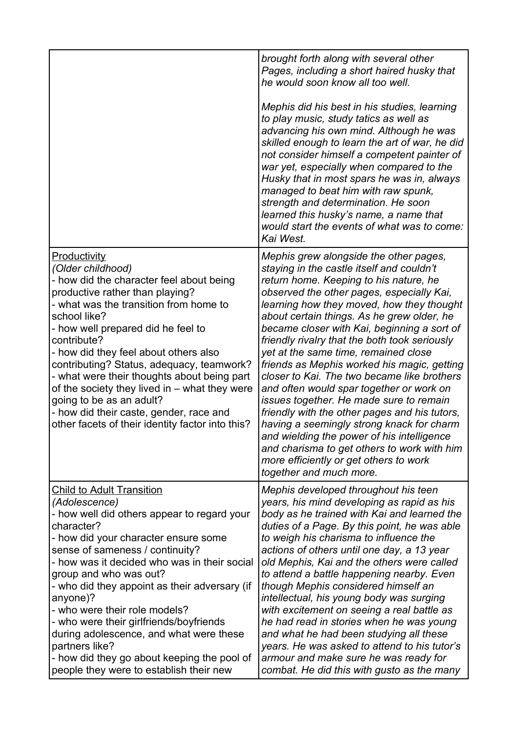|                                                                                                                                                                                                                                                                                                                                                                                                                                                                                                                                                                     | brought forth along with several other<br>Pages, including a short haired husky that<br>he would soon know all too well.                                                                                                                                                                                                                                                                                                                                                                                                                                                                                                                                                                                                                                                                                                                                           |
|---------------------------------------------------------------------------------------------------------------------------------------------------------------------------------------------------------------------------------------------------------------------------------------------------------------------------------------------------------------------------------------------------------------------------------------------------------------------------------------------------------------------------------------------------------------------|--------------------------------------------------------------------------------------------------------------------------------------------------------------------------------------------------------------------------------------------------------------------------------------------------------------------------------------------------------------------------------------------------------------------------------------------------------------------------------------------------------------------------------------------------------------------------------------------------------------------------------------------------------------------------------------------------------------------------------------------------------------------------------------------------------------------------------------------------------------------|
|                                                                                                                                                                                                                                                                                                                                                                                                                                                                                                                                                                     | Mephis did his best in his studies, learning<br>to play music, study tatics as well as<br>advancing his own mind. Although he was<br>skilled enough to learn the art of war, he did<br>not consider himself a competent painter of<br>war yet, especially when compared to the<br>Husky that in most spars he was in, always<br>managed to beat him with raw spunk,<br>strength and determination. He soon<br>learned this husky's name, a name that<br>would start the events of what was to come:<br>Kai West.                                                                                                                                                                                                                                                                                                                                                   |
| Productivity<br>(Older childhood)<br>- how did the character feel about being<br>productive rather than playing?<br>- what was the transition from home to<br>school like?<br>- how well prepared did he feel to<br>contribute?<br>- how did they feel about others also<br>contributing? Status, adequacy, teamwork?<br>- what were their thoughts about being part<br>of the society they lived in – what they were<br>going to be as an adult?<br>- how did their caste, gender, race and<br>other facets of their identity factor into this?                    | Mephis grew alongside the other pages,<br>staying in the castle itself and couldn't<br>return home. Keeping to his nature, he<br>observed the other pages, especially Kai,<br>learning how they moved, how they thought<br>about certain things. As he grew older, he<br>became closer with Kai, beginning a sort of<br>friendly rivalry that the both took seriously<br>yet at the same time, remained close<br>friends as Mephis worked his magic, getting<br>closer to Kai. The two became like brothers<br>and often would spar together or work on<br>issues together. He made sure to remain<br>friendly with the other pages and his tutors,<br>having a seemingly strong knack for charm<br>and wielding the power of his intelligence<br>and charisma to get others to work with him<br>more efficiently or get others to work<br>together and much more. |
| <b>Child to Adult Transition</b><br>(Adolescence)<br>- how well did others appear to regard your<br>character?<br>- how did your character ensure some<br>sense of sameness / continuity?<br>- how was it decided who was in their social<br>group and who was out?<br>- who did they appoint as their adversary (if<br>anyone)?<br>- who were their role models?<br>- who were their girlfriends/boyfriends<br>during adolescence, and what were these<br>partners like?<br>- how did they go about keeping the pool of<br>people they were to establish their new | Mephis developed throughout his teen<br>years, his mind developing as rapid as his<br>body as he trained with Kai and learned the<br>duties of a Page. By this point, he was able<br>to weigh his charisma to influence the<br>actions of others until one day, a 13 year<br>old Mephis, Kai and the others were called<br>to attend a battle happening nearby. Even<br>though Mephis considered himself an<br>intellectual, his young body was surging<br>with excitement on seeing a real battle as<br>he had read in stories when he was young<br>and what he had been studying all these<br>years. He was asked to attend to his tutor's<br>armour and make sure he was ready for<br>combat. He did this with gusto as the many                                                                                                                                |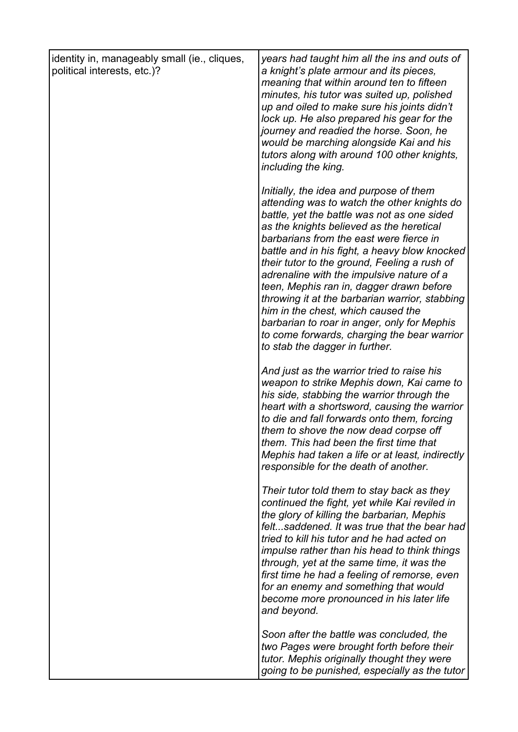| identity in, manageably small (ie., cliques,<br>political interests, etc.)? | years had taught him all the ins and outs of<br>a knight's plate armour and its pieces,<br>meaning that within around ten to fifteen<br>minutes, his tutor was suited up, polished<br>up and oiled to make sure his joints didn't<br>lock up. He also prepared his gear for the<br>journey and readied the horse. Soon, he<br>would be marching alongside Kai and his<br>tutors along with around 100 other knights,<br>including the king.                                                                                                                                                                                                    |
|-----------------------------------------------------------------------------|------------------------------------------------------------------------------------------------------------------------------------------------------------------------------------------------------------------------------------------------------------------------------------------------------------------------------------------------------------------------------------------------------------------------------------------------------------------------------------------------------------------------------------------------------------------------------------------------------------------------------------------------|
|                                                                             | Initially, the idea and purpose of them<br>attending was to watch the other knights do<br>battle, yet the battle was not as one sided<br>as the knights believed as the heretical<br>barbarians from the east were fierce in<br>battle and in his fight, a heavy blow knocked<br>their tutor to the ground, Feeling a rush of<br>adrenaline with the impulsive nature of a<br>teen, Mephis ran in, dagger drawn before<br>throwing it at the barbarian warrior, stabbing<br>him in the chest, which caused the<br>barbarian to roar in anger, only for Mephis<br>to come forwards, charging the bear warrior<br>to stab the dagger in further. |
|                                                                             | And just as the warrior tried to raise his<br>weapon to strike Mephis down, Kai came to<br>his side, stabbing the warrior through the<br>heart with a shortsword, causing the warrior<br>to die and fall forwards onto them, forcing<br>them to shove the now dead corpse off<br>them. This had been the first time that<br>Mephis had taken a life or at least, indirectly<br>responsible for the death of another.                                                                                                                                                                                                                           |
|                                                                             | Their tutor told them to stay back as they<br>continued the fight, yet while Kai reviled in<br>the glory of killing the barbarian, Mephis<br>feltsaddened. It was true that the bear had<br>tried to kill his tutor and he had acted on<br><i>impulse rather than his head to think things</i><br>through, yet at the same time, it was the<br>first time he had a feeling of remorse, even<br>for an enemy and something that would<br>become more pronounced in his later life<br>and beyond.                                                                                                                                                |
|                                                                             | Soon after the battle was concluded, the<br>two Pages were brought forth before their<br>tutor. Mephis originally thought they were<br>going to be punished, especially as the tutor                                                                                                                                                                                                                                                                                                                                                                                                                                                           |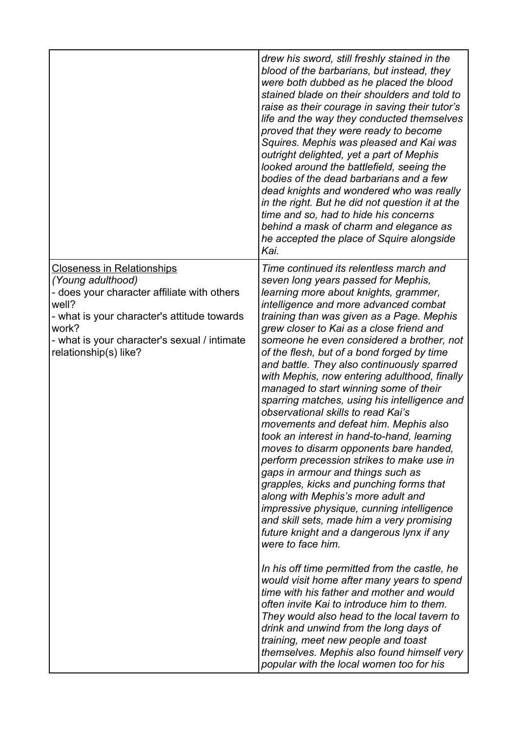|                                                                                                                                                                                                                                                                      | blood of the barbarians, but instead, they<br>were both dubbed as he placed the blood<br>stained blade on their shoulders and told to<br>raise as their courage in saving their tutor's<br>life and the way they conducted themselves<br>proved that they were ready to become<br>Squires. Mephis was pleased and Kai was<br>outright delighted, yet a part of Mephis<br>looked around the battlefield, seeing the<br>bodies of the dead barbarians and a few<br>dead knights and wondered who was really<br>in the right. But he did not question it at the<br>time and so, had to hide his concerns<br>behind a mask of charm and elegance as<br>he accepted the place of Squire alongside                                                                                                                                                                                                                                                                                                                                                                                                                                                                                                                                                                                                                                                            |
|----------------------------------------------------------------------------------------------------------------------------------------------------------------------------------------------------------------------------------------------------------------------|---------------------------------------------------------------------------------------------------------------------------------------------------------------------------------------------------------------------------------------------------------------------------------------------------------------------------------------------------------------------------------------------------------------------------------------------------------------------------------------------------------------------------------------------------------------------------------------------------------------------------------------------------------------------------------------------------------------------------------------------------------------------------------------------------------------------------------------------------------------------------------------------------------------------------------------------------------------------------------------------------------------------------------------------------------------------------------------------------------------------------------------------------------------------------------------------------------------------------------------------------------------------------------------------------------------------------------------------------------|
| <u>Closeness in Relationships</u><br>(Young adulthood)<br>- does your character affiliate with others<br>well?<br>- what is your character's attitude towards<br>work?<br>- what is your character's sexual / intimate<br>relationship(s) like?<br>were to face him. | Time continued its relentless march and<br>seven long years passed for Mephis,<br>learning more about knights, grammer,<br>intelligence and more advanced combat<br>training than was given as a Page. Mephis<br>grew closer to Kai as a close friend and<br>someone he even considered a brother, not<br>of the flesh, but of a bond forged by time<br>and battle. They also continuously sparred<br>with Mephis, now entering adulthood, finally<br>managed to start winning some of their<br>sparring matches, using his intelligence and<br>observational skills to read Kai's<br>movements and defeat him. Mephis also<br>took an interest in hand-to-hand, learning<br>moves to disarm opponents bare handed,<br>perform precession strikes to make use in<br>gaps in armour and things such as<br>grapples, kicks and punching forms that<br>along with Mephis's more adult and<br>impressive physique, cunning intelligence<br>and skill sets, made him a very promising<br>future knight and a dangerous lynx if any<br>In his off time permitted from the castle, he<br>would visit home after many years to spend<br>time with his father and mother and would<br>often invite Kai to introduce him to them.<br>They would also head to the local tavern to<br>drink and unwind from the long days of<br>training, meet new people and toast |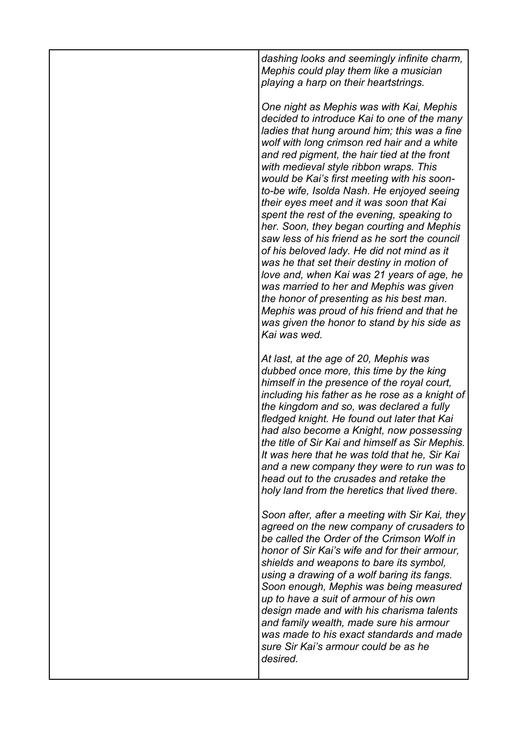*dashing looks and seemingly infinite charm, Mephis could play them like a musician playing a harp on their heartstrings.* 

*One night as Mephis was with Kai, Mephis decided to introduce Kai to one of the many ladies that hung around him; this was a fine wolf with long crimson red hair and a white and red pigment, the hair tied at the front with medieval style ribbon wraps. This would be Kai's first meeting with his soonto-be wife, Isolda Nash. He enjoyed seeing their eyes meet and it was soon that Kai spent the rest of the evening, speaking to her. Soon, they began courting and Mephis saw less of his friend as he sort the council of his beloved lady. He did not mind as it was he that set their destiny in motion of love and, when Kai was 21 years of age, he was married to her and Mephis was given the honor of presenting as his best man. Mephis was proud of his friend and that he was given the honor to stand by his side as Kai was wed.*

*At last, at the age of 20, Mephis was dubbed once more, this time by the king himself in the presence of the royal court, including his father as he rose as a knight of the kingdom and so, was declared a fully fledged knight. He found out later that Kai had also become a Knight, now possessing the title of Sir Kai and himself as Sir Mephis. It was here that he was told that he, Sir Kai and a new company they were to run was to head out to the crusades and retake the holy land from the heretics that lived there.*

*Soon after, after a meeting with Sir Kai, they agreed on the new company of crusaders to be called the Order of the Crimson Wolf in honor of Sir Kai's wife and for their armour, shields and weapons to bare its symbol, using a drawing of a wolf baring its fangs. Soon enough, Mephis was being measured up to have a suit of armour of his own design made and with his charisma talents and family wealth, made sure his armour was made to his exact standards and made sure Sir Kai's armour could be as he desired.*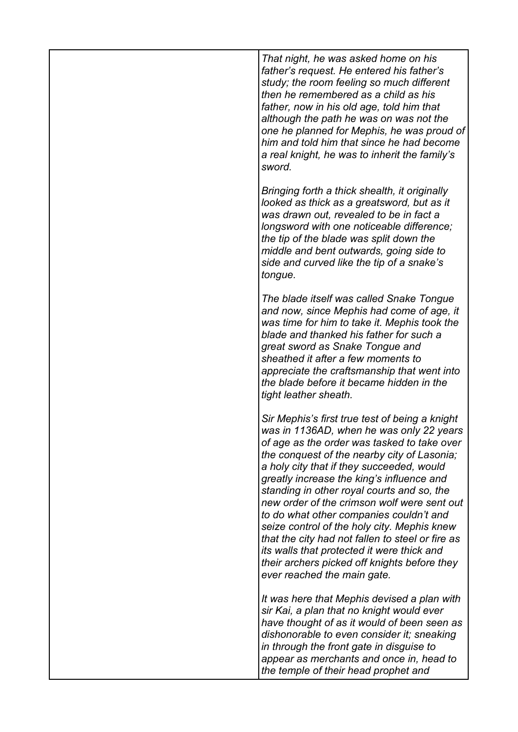| That night, he was asked home on his<br>father's request. He entered his father's<br>study; the room feeling so much different<br>then he remembered as a child as his<br>father, now in his old age, told him that<br>although the path he was on was not the<br>one he planned for Mephis, he was proud of<br>him and told him that since he had become<br>a real knight, he was to inherit the family's<br>sword.                                                                                                                                                                                                                                       |
|------------------------------------------------------------------------------------------------------------------------------------------------------------------------------------------------------------------------------------------------------------------------------------------------------------------------------------------------------------------------------------------------------------------------------------------------------------------------------------------------------------------------------------------------------------------------------------------------------------------------------------------------------------|
| Bringing forth a thick shealth, it originally<br>looked as thick as a greatsword, but as it<br>was drawn out, revealed to be in fact a<br>longsword with one noticeable difference;<br>the tip of the blade was split down the<br>middle and bent outwards, going side to<br>side and curved like the tip of a snake's<br>tongue.                                                                                                                                                                                                                                                                                                                          |
| The blade itself was called Snake Tongue<br>and now, since Mephis had come of age, it<br>was time for him to take it. Mephis took the<br>blade and thanked his father for such a<br>great sword as Snake Tongue and<br>sheathed it after a few moments to<br>appreciate the craftsmanship that went into<br>the blade before it became hidden in the<br>tight leather sheath.                                                                                                                                                                                                                                                                              |
| Sir Mephis's first true test of being a knight<br>was in 1136AD, when he was only 22 years<br>of age as the order was tasked to take over<br>the conquest of the nearby city of Lasonia;<br>a holy city that if they succeeded, would<br>greatly increase the king's influence and<br>standing in other royal courts and so, the<br>new order of the crimson wolf were sent out<br>to do what other companies couldn't and<br>seize control of the holy city. Mephis knew<br>that the city had not fallen to steel or fire as<br>its walls that protected it were thick and<br>their archers picked off knights before they<br>ever reached the main gate. |
| It was here that Mephis devised a plan with<br>sir Kai, a plan that no knight would ever<br>have thought of as it would of been seen as<br>dishonorable to even consider it; sneaking<br>in through the front gate in disguise to<br>appear as merchants and once in, head to<br>the temple of their head prophet and                                                                                                                                                                                                                                                                                                                                      |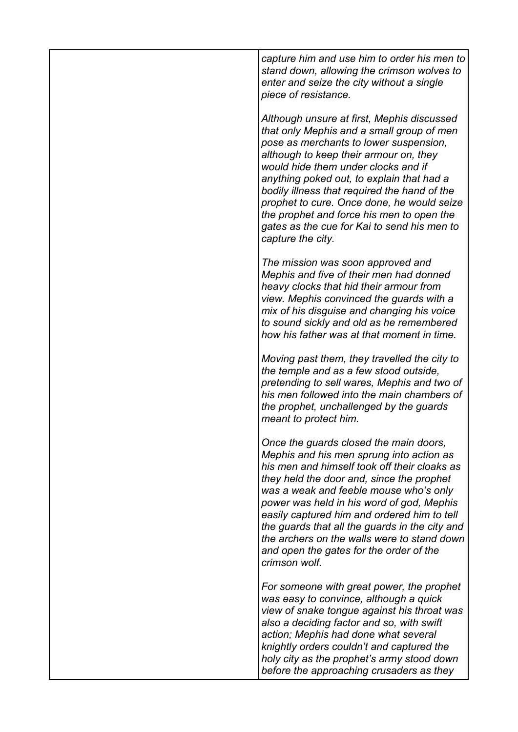*capture him and use him to order his men to stand down, allowing the crimson wolves to enter and seize the city without a single piece of resistance.*

*Although unsure at first, Mephis discussed that only Mephis and a small group of men pose as merchants to lower suspension, although to keep their armour on, they would hide them under clocks and if anything poked out, to explain that had a bodily illness that required the hand of the prophet to cure. Once done, he would seize the prophet and force his men to open the gates as the cue for Kai to send his men to capture the city.*

*The mission was soon approved and Mephis and five of their men had donned heavy clocks that hid their armour from view. Mephis convinced the guards with a mix of his disguise and changing his voice to sound sickly and old as he remembered how his father was at that moment in time.*

*Moving past them, they travelled the city to the temple and as a few stood outside, pretending to sell wares, Mephis and two of his men followed into the main chambers of the prophet, unchallenged by the guards meant to protect him.* 

*Once the guards closed the main doors, Mephis and his men sprung into action as his men and himself took off their cloaks as they held the door and, since the prophet was a weak and feeble mouse who's only power was held in his word of god, Mephis easily captured him and ordered him to tell the guards that all the guards in the city and the archers on the walls were to stand down and open the gates for the order of the crimson wolf.* 

*For someone with great power, the prophet was easy to convince, although a quick view of snake tongue against his throat was also a deciding factor and so, with swift action; Mephis had done what several knightly orders couldn't and captured the holy city as the prophet's army stood down before the approaching crusaders as they*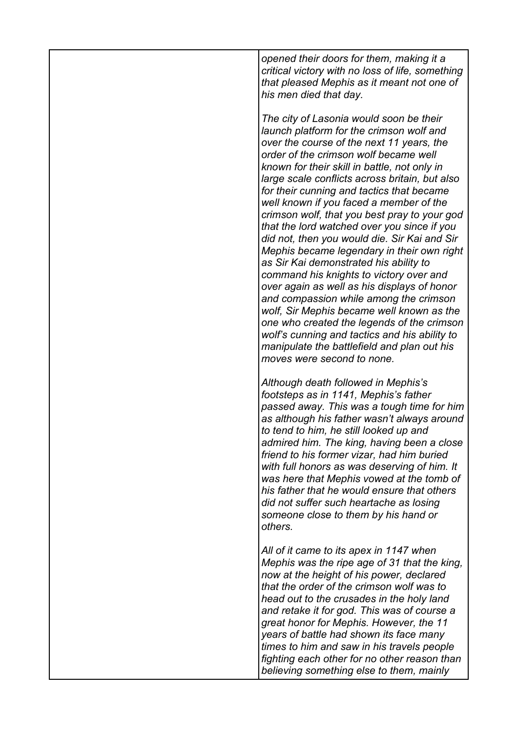*opened their doors for them, making it a critical victory with no loss of life, something that pleased Mephis as it meant not one of his men died that day.*

*The city of Lasonia would soon be their launch platform for the crimson wolf and over the course of the next 11 years, the order of the crimson wolf became well known for their skill in battle, not only in large scale conflicts across britain, but also for their cunning and tactics that became well known if you faced a member of the crimson wolf, that you best pray to your god that the lord watched over you since if you did not, then you would die. Sir Kai and Sir Mephis became legendary in their own right as Sir Kai demonstrated his ability to command his knights to victory over and over again as well as his displays of honor and compassion while among the crimson wolf, Sir Mephis became well known as the one who created the legends of the crimson wolf's cunning and tactics and his ability to manipulate the battlefield and plan out his moves were second to none.*

*Although death followed in Mephis's footsteps as in 1141, Mephis's father passed away. This was a tough time for him as although his father wasn't always around to tend to him, he still looked up and admired him. The king, having been a close friend to his former vizar, had him buried with full honors as was deserving of him. It was here that Mephis vowed at the tomb of his father that he would ensure that others did not suffer such heartache as losing someone close to them by his hand or others.*

*All of it came to its apex in 1147 when Mephis was the ripe age of 31 that the king, now at the height of his power, declared that the order of the crimson wolf was to head out to the crusades in the holy land and retake it for god. This was of course a great honor for Mephis. However, the 11 years of battle had shown its face many times to him and saw in his travels people fighting each other for no other reason than believing something else to them, mainly*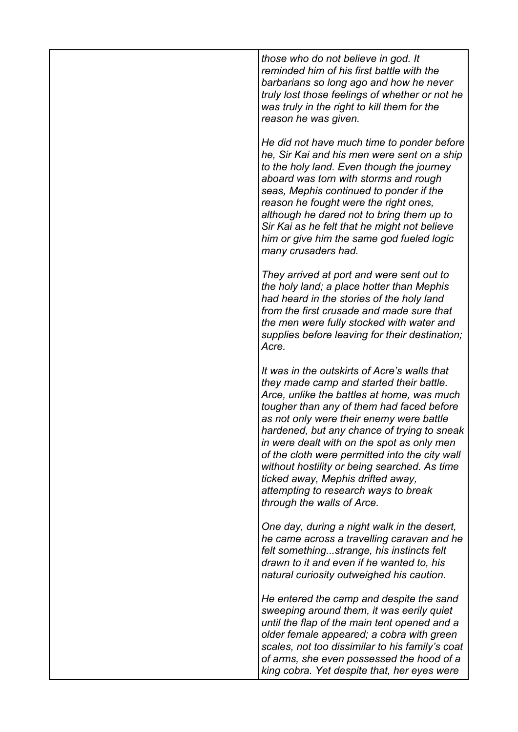*those who do not believe in god. It reminded him of his first battle with the barbarians so long ago and how he never truly lost those feelings of whether or not he was truly in the right to kill them for the reason he was given.*

*He did not have much time to ponder before he, Sir Kai and his men were sent on a ship to the holy land. Even though the journey aboard was torn with storms and rough seas, Mephis continued to ponder if the reason he fought were the right ones, although he dared not to bring them up to Sir Kai as he felt that he might not believe him or give him the same god fueled logic many crusaders had.*

*They arrived at port and were sent out to the holy land; a place hotter than Mephis had heard in the stories of the holy land from the first crusade and made sure that the men were fully stocked with water and supplies before leaving for their destination; Acre.* 

*It was in the outskirts of Acre's walls that they made camp and started their battle. Arce, unlike the battles at home, was much tougher than any of them had faced before as not only were their enemy were battle hardened, but any chance of trying to sneak in were dealt with on the spot as only men of the cloth were permitted into the city wall without hostility or being searched. As time ticked away, Mephis drifted away, attempting to research ways to break through the walls of Arce.*

*One day, during a night walk in the desert, he came across a travelling caravan and he felt something...strange, his instincts felt drawn to it and even if he wanted to, his natural curiosity outweighed his caution.* 

*He entered the camp and despite the sand sweeping around them, it was eerily quiet until the flap of the main tent opened and a older female appeared; a cobra with green scales, not too dissimilar to his family's coat of arms, she even possessed the hood of a king cobra. Yet despite that, her eyes were*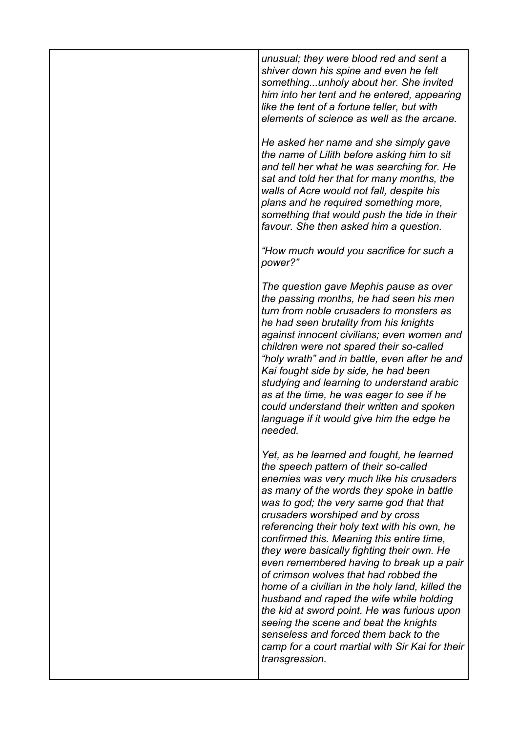*unusual; they were blood red and sent a shiver down his spine and even he felt something...unholy about her. She invited him into her tent and he entered, appearing like the tent of a fortune teller, but with elements of science as well as the arcane.*

*He asked her name and she simply gave the name of Lilith before asking him to sit and tell her what he was searching for. He sat and told her that for many months, the walls of Acre would not fall, despite his plans and he required something more, something that would push the tide in their favour. She then asked him a question.*

*"How much would you sacrifice for such a power?"*

*The question gave Mephis pause as over the passing months, he had seen his men turn from noble crusaders to monsters as he had seen brutality from his knights against innocent civilians; even women and children were not spared their so-called "holy wrath" and in battle, even after he and Kai fought side by side, he had been studying and learning to understand arabic as at the time, he was eager to see if he could understand their written and spoken language if it would give him the edge he needed.*

*Yet, as he learned and fought, he learned the speech pattern of their so-called enemies was very much like his crusaders as many of the words they spoke in battle was to god; the very same god that that crusaders worshiped and by cross referencing their holy text with his own, he confirmed this. Meaning this entire time, they were basically fighting their own. He even remembered having to break up a pair of crimson wolves that had robbed the home of a civilian in the holy land, killed the husband and raped the wife while holding the kid at sword point. He was furious upon seeing the scene and beat the knights senseless and forced them back to the camp for a court martial with Sir Kai for their transgression.*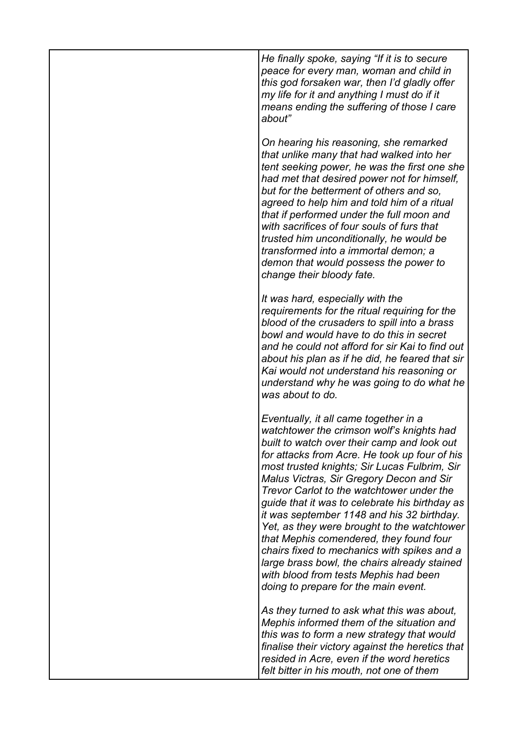*He finally spoke, saying "If it is to secure peace for every man, woman and child in this god forsaken war, then I'd gladly offer my life for it and anything I must do if it means ending the suffering of those I care about"*

*On hearing his reasoning, she remarked that unlike many that had walked into her tent seeking power, he was the first one she had met that desired power not for himself, but for the betterment of others and so, agreed to help him and told him of a ritual that if performed under the full moon and with sacrifices of four souls of furs that trusted him unconditionally, he would be transformed into a immortal demon; a demon that would possess the power to change their bloody fate.*

*It was hard, especially with the requirements for the ritual requiring for the blood of the crusaders to spill into a brass bowl and would have to do this in secret and he could not afford for sir Kai to find out about his plan as if he did, he feared that sir Kai would not understand his reasoning or understand why he was going to do what he was about to do.*

*Eventually, it all came together in a watchtower the crimson wolf's knights had built to watch over their camp and look out for attacks from Acre. He took up four of his most trusted knights; Sir Lucas Fulbrim, Sir Malus Victras, Sir Gregory Decon and Sir Trevor Carlot to the watchtower under the guide that it was to celebrate his birthday as it was september 1148 and his 32 birthday. Yet, as they were brought to the watchtower that Mephis comendered, they found four chairs fixed to mechanics with spikes and a large brass bowl, the chairs already stained with blood from tests Mephis had been doing to prepare for the main event.* 

*As they turned to ask what this was about, Mephis informed them of the situation and this was to form a new strategy that would finalise their victory against the heretics that resided in Acre, even if the word heretics felt bitter in his mouth, not one of them*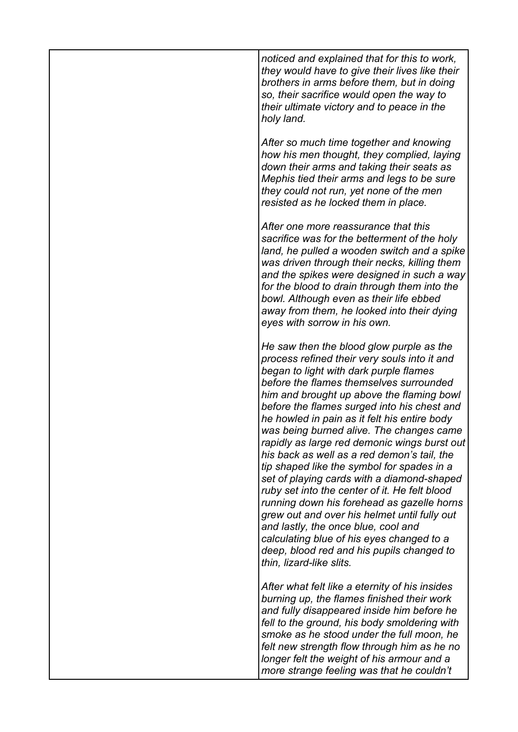*noticed and explained that for this to work, they would have to give their lives like their brothers in arms before them, but in doing so, their sacrifice would open the way to their ultimate victory and to peace in the holy land.*

*After so much time together and knowing how his men thought, they complied, laying down their arms and taking their seats as Mephis tied their arms and legs to be sure they could not run, yet none of the men resisted as he locked them in place.*

*After one more reassurance that this sacrifice was for the betterment of the holy land, he pulled a wooden switch and a spike was driven through their necks, killing them and the spikes were designed in such a way for the blood to drain through them into the bowl. Although even as their life ebbed away from them, he looked into their dying eyes with sorrow in his own.*

*He saw then the blood glow purple as the process refined their very souls into it and began to light with dark purple flames before the flames themselves surrounded him and brought up above the flaming bowl before the flames surged into his chest and he howled in pain as it felt his entire body was being burned alive. The changes came rapidly as large red demonic wings burst out his back as well as a red demon's tail, the tip shaped like the symbol for spades in a set of playing cards with a diamond-shaped ruby set into the center of it. He felt blood running down his forehead as gazelle horns grew out and over his helmet until fully out and lastly, the once blue, cool and calculating blue of his eyes changed to a deep, blood red and his pupils changed to thin, lizard-like slits.* 

*After what felt like a eternity of his insides burning up, the flames finished their work and fully disappeared inside him before he fell to the ground, his body smoldering with smoke as he stood under the full moon, he felt new strength flow through him as he no longer felt the weight of his armour and a more strange feeling was that he couldn't*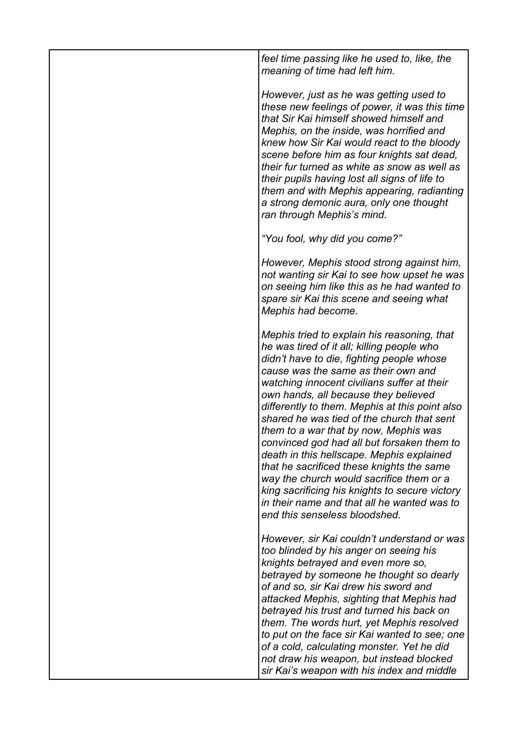*feel time passing like he used to, like, the meaning of time had left him.*

*However, just as he was getting used to these new feelings of power, it was this time that Sir Kai himself showed himself and Mephis, on the inside, was horrified and knew how Sir Kai would react to the bloody scene before him as four knights sat dead, their fur turned as white as snow as well as their pupils having lost all signs of life to them and with Mephis appearing, radianting a strong demonic aura, only one thought ran through Mephis's mind.*

*"You fool, why did you come?"*

*However, Mephis stood strong against him, not wanting sir Kai to see how upset he was on seeing him like this as he had wanted to spare sir Kai this scene and seeing what Mephis had become.*

*Mephis tried to explain his reasoning, that he was tired of it all; killing people who didn't have to die, fighting people whose cause was the same as their own and watching innocent civilians suffer at their own hands, all because they believed differently to them. Mephis at this point also shared he was tied of the church that sent them to a war that by now, Mephis was convinced god had all but forsaken them to death in this hellscape. Mephis explained that he sacrificed these knights the same way the church would sacrifice them or a king sacrificing his knights to secure victory in their name and that all he wanted was to end this senseless bloodshed.*

*However, sir Kai couldn't understand or was too blinded by his anger on seeing his knights betrayed and even more so, betrayed by someone he thought so dearly of and so, sir Kai drew his sword and attacked Mephis, sighting that Mephis had betrayed his trust and turned his back on them. The words hurt, yet Mephis resolved to put on the face sir Kai wanted to see; one of a cold, calculating monster. Yet he did not draw his weapon, but instead blocked sir Kai's weapon with his index and middle*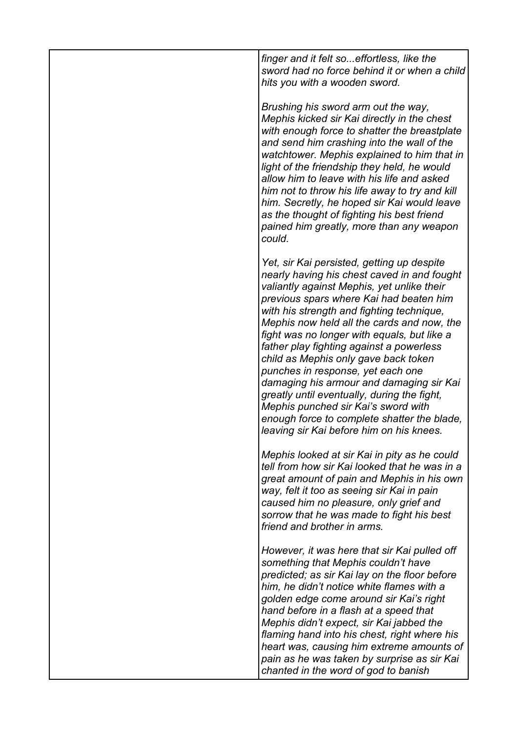*finger and it felt so...effortless, like the sword had no force behind it or when a child hits you with a wooden sword.*

*Brushing his sword arm out the way, Mephis kicked sir Kai directly in the chest with enough force to shatter the breastplate and send him crashing into the wall of the watchtower. Mephis explained to him that in light of the friendship they held, he would allow him to leave with his life and asked him not to throw his life away to try and kill him. Secretly, he hoped sir Kai would leave as the thought of fighting his best friend pained him greatly, more than any weapon could.*

*Yet, sir Kai persisted, getting up despite nearly having his chest caved in and fought valiantly against Mephis, yet unlike their previous spars where Kai had beaten him with his strength and fighting technique, Mephis now held all the cards and now, the fight was no longer with equals, but like a father play fighting against a powerless child as Mephis only gave back token punches in response, yet each one damaging his armour and damaging sir Kai greatly until eventually, during the fight, Mephis punched sir Kai's sword with enough force to complete shatter the blade, leaving sir Kai before him on his knees.*

*Mephis looked at sir Kai in pity as he could tell from how sir Kai looked that he was in a great amount of pain and Mephis in his own way, felt it too as seeing sir Kai in pain caused him no pleasure, only grief and sorrow that he was made to fight his best friend and brother in arms.*

*However, it was here that sir Kai pulled off something that Mephis couldn't have predicted; as sir Kai lay on the floor before him, he didn't notice white flames with a golden edge come around sir Kai's right hand before in a flash at a speed that Mephis didn't expect, sir Kai jabbed the flaming hand into his chest, right where his heart was, causing him extreme amounts of pain as he was taken by surprise as sir Kai chanted in the word of god to banish*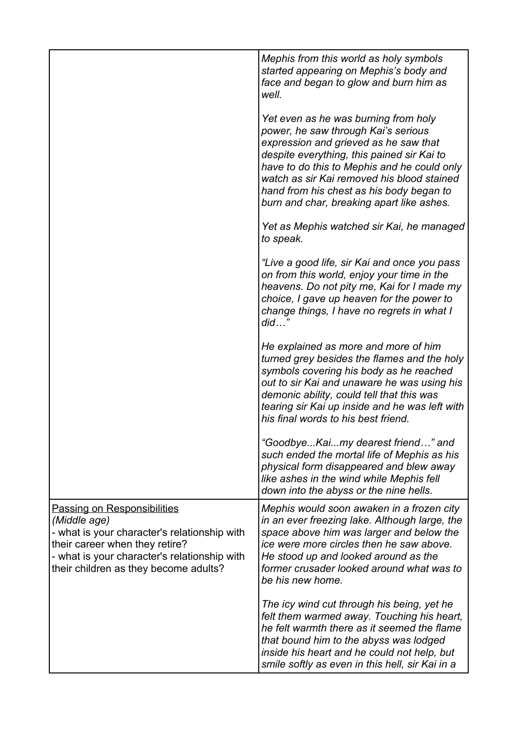|                                                                                                                                                                                                                               | Mephis from this world as holy symbols<br>started appearing on Mephis's body and<br>face and began to glow and burn him as<br>well.                                                                                                                                                                                                                      |
|-------------------------------------------------------------------------------------------------------------------------------------------------------------------------------------------------------------------------------|----------------------------------------------------------------------------------------------------------------------------------------------------------------------------------------------------------------------------------------------------------------------------------------------------------------------------------------------------------|
|                                                                                                                                                                                                                               | Yet even as he was burning from holy<br>power, he saw through Kai's serious<br>expression and grieved as he saw that<br>despite everything, this pained sir Kai to<br>have to do this to Mephis and he could only<br>watch as sir Kai removed his blood stained<br>hand from his chest as his body began to<br>burn and char, breaking apart like ashes. |
|                                                                                                                                                                                                                               | Yet as Mephis watched sir Kai, he managed<br>to speak.                                                                                                                                                                                                                                                                                                   |
|                                                                                                                                                                                                                               | "Live a good life, sir Kai and once you pass<br>on from this world, enjoy your time in the<br>heavens. Do not pity me, Kai for I made my<br>choice, I gave up heaven for the power to<br>change things, I have no regrets in what I<br>did"                                                                                                              |
|                                                                                                                                                                                                                               | He explained as more and more of him<br>turned grey besides the flames and the holy<br>symbols covering his body as he reached<br>out to sir Kai and unaware he was using his<br>demonic ability, could tell that this was<br>tearing sir Kai up inside and he was left with<br>his final words to his best friend.                                      |
|                                                                                                                                                                                                                               | "GoodbyeKaimy dearest friend" and<br>such ended the mortal life of Mephis as his<br>physical form disappeared and blew away<br>like ashes in the wind while Mephis fell<br>down into the abyss or the nine hells.                                                                                                                                        |
| <b>Passing on Responsibilities</b><br>(Middle age)<br>- what is your character's relationship with<br>their career when they retire?<br>- what is your character's relationship with<br>their children as they become adults? | Mephis would soon awaken in a frozen city<br>in an ever freezing lake. Although large, the<br>space above him was larger and below the<br>ice were more circles then he saw above.<br>He stood up and looked around as the<br>former crusader looked around what was to<br>be his new home.                                                              |
|                                                                                                                                                                                                                               | The icy wind cut through his being, yet he<br>felt them warmed away. Touching his heart,<br>he felt warmth there as it seemed the flame<br>that bound him to the abyss was lodged<br>inside his heart and he could not help, but<br>smile softly as even in this hell, sir Kai in a                                                                      |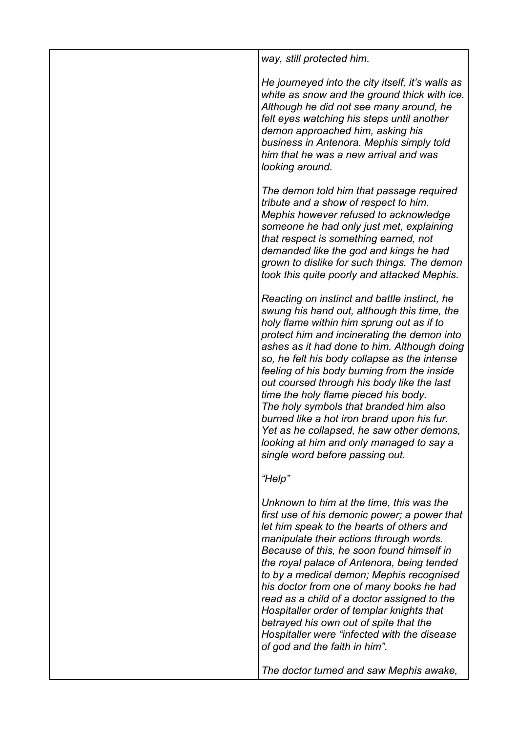| way, still protected him.                                                                                                                                                                                                                                                                                                                                                                                                                                                                                                                                                                                                                       |
|-------------------------------------------------------------------------------------------------------------------------------------------------------------------------------------------------------------------------------------------------------------------------------------------------------------------------------------------------------------------------------------------------------------------------------------------------------------------------------------------------------------------------------------------------------------------------------------------------------------------------------------------------|
| He journeyed into the city itself, it's walls as<br>white as snow and the ground thick with ice.<br>Although he did not see many around, he<br>felt eyes watching his steps until another<br>demon approached him, asking his<br>business in Antenora. Mephis simply told<br>him that he was a new arrival and was<br>looking around.                                                                                                                                                                                                                                                                                                           |
| The demon told him that passage required<br>tribute and a show of respect to him.<br>Mephis however refused to acknowledge<br>someone he had only just met, explaining<br>that respect is something earned, not<br>demanded like the god and kings he had<br>grown to dislike for such things. The demon<br>took this quite poorly and attacked Mephis.                                                                                                                                                                                                                                                                                         |
| Reacting on instinct and battle instinct, he<br>swung his hand out, although this time, the<br>holy flame within him sprung out as if to<br>protect him and incinerating the demon into<br>ashes as it had done to him. Although doing<br>so, he felt his body collapse as the intense<br>feeling of his body burning from the inside<br>out coursed through his body like the last<br>time the holy flame pieced his body.<br>The holy symbols that branded him also<br>burned like a hot iron brand upon his fur.<br>Yet as he collapsed, he saw other demons,<br>looking at him and only managed to say a<br>single word before passing out. |
| "Help"                                                                                                                                                                                                                                                                                                                                                                                                                                                                                                                                                                                                                                          |
| Unknown to him at the time, this was the<br>first use of his demonic power; a power that<br>let him speak to the hearts of others and<br>manipulate their actions through words.<br>Because of this, he soon found himself in<br>the royal palace of Antenora, being tended<br>to by a medical demon; Mephis recognised<br>his doctor from one of many books he had<br>read as a child of a doctor assigned to the<br>Hospitaller order of templar knights that<br>betrayed his own out of spite that the<br>Hospitaller were "infected with the disease<br>of god and the faith in him".                                                       |
| The doctor turned and saw Mephis awake,                                                                                                                                                                                                                                                                                                                                                                                                                                                                                                                                                                                                         |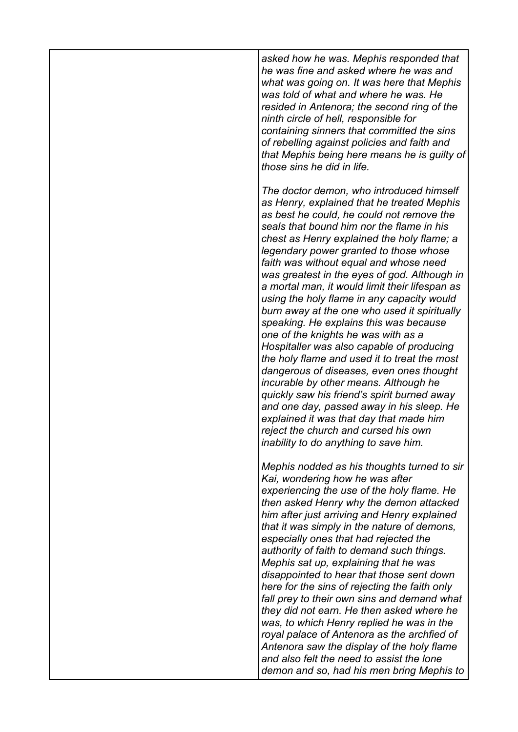*asked how he was. Mephis responded that he was fine and asked where he was and what was going on. It was here that Mephis was told of what and where he was. He resided in Antenora; the second ring of the ninth circle of hell, responsible for containing sinners that committed the sins of rebelling against policies and faith and that Mephis being here means he is guilty of those sins he did in life.*

*The doctor demon, who introduced himself as Henry, explained that he treated Mephis as best he could, he could not remove the seals that bound him nor the flame in his chest as Henry explained the holy flame; a legendary power granted to those whose faith was without equal and whose need was greatest in the eyes of god. Although in a mortal man, it would limit their lifespan as using the holy flame in any capacity would burn away at the one who used it spiritually speaking. He explains this was because one of the knights he was with as a Hospitaller was also capable of producing the holy flame and used it to treat the most dangerous of diseases, even ones thought incurable by other means. Although he quickly saw his friend's spirit burned away and one day, passed away in his sleep. He explained it was that day that made him reject the church and cursed his own inability to do anything to save him.*

*Mephis nodded as his thoughts turned to sir Kai, wondering how he was after experiencing the use of the holy flame. He then asked Henry why the demon attacked him after just arriving and Henry explained that it was simply in the nature of demons, especially ones that had rejected the authority of faith to demand such things. Mephis sat up, explaining that he was disappointed to hear that those sent down here for the sins of rejecting the faith only fall prey to their own sins and demand what they did not earn. He then asked where he was, to which Henry replied he was in the royal palace of Antenora as the archfied of Antenora saw the display of the holy flame and also felt the need to assist the lone demon and so, had his men bring Mephis to*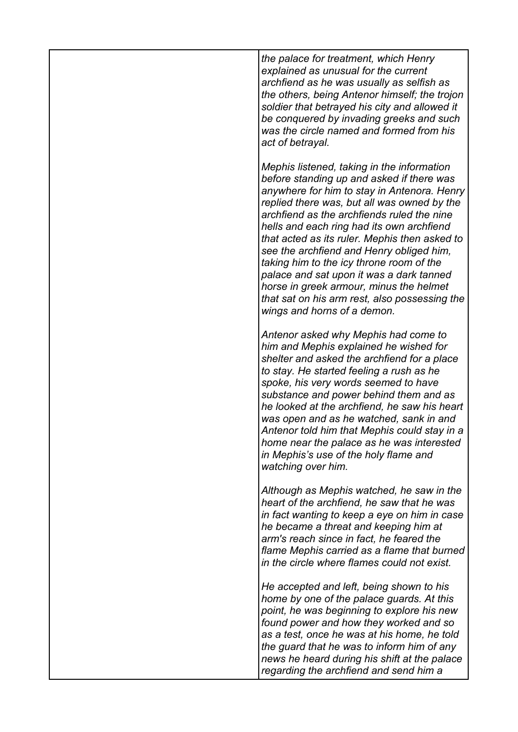*the palace for treatment, which Henry explained as unusual for the current archfiend as he was usually as selfish as the others, being Antenor himself; the trojon soldier that betrayed his city and allowed it be conquered by invading greeks and such was the circle named and formed from his act of betrayal.*

*Mephis listened, taking in the information before standing up and asked if there was anywhere for him to stay in Antenora. Henry replied there was, but all was owned by the archfiend as the archfiends ruled the nine hells and each ring had its own archfiend that acted as its ruler. Mephis then asked to see the archfiend and Henry obliged him, taking him to the icy throne room of the palace and sat upon it was a dark tanned horse in greek armour, minus the helmet that sat on his arm rest, also possessing the wings and horns of a demon.*

*Antenor asked why Mephis had come to him and Mephis explained he wished for shelter and asked the archfiend for a place to stay. He started feeling a rush as he spoke, his very words seemed to have substance and power behind them and as he looked at the archfiend, he saw his heart was open and as he watched, sank in and Antenor told him that Mephis could stay in a home near the palace as he was interested in Mephis's use of the holy flame and watching over him.*

*Although as Mephis watched, he saw in the heart of the archfiend, he saw that he was in fact wanting to keep a eye on him in case he became a threat and keeping him at arm's reach since in fact, he feared the flame Mephis carried as a flame that burned in the circle where flames could not exist.*

*He accepted and left, being shown to his home by one of the palace guards. At this point, he was beginning to explore his new found power and how they worked and so as a test, once he was at his home, he told the guard that he was to inform him of any news he heard during his shift at the palace regarding the archfiend and send him a*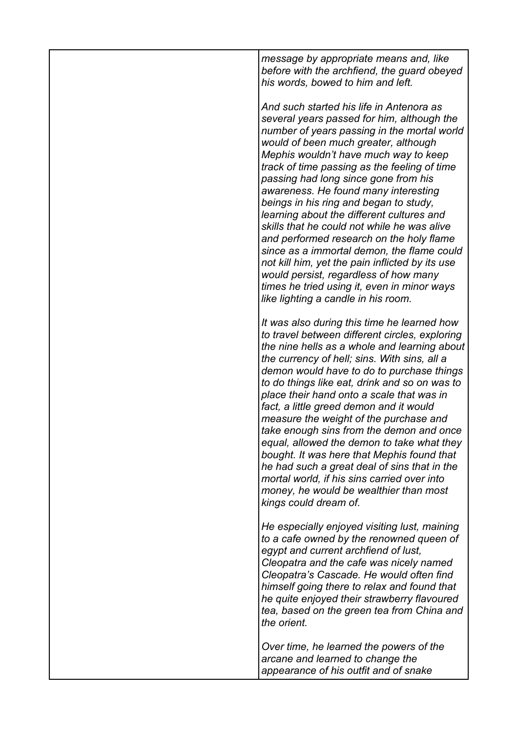*message by appropriate means and, like before with the archfiend, the guard obeyed his words, bowed to him and left.*

*And such started his life in Antenora as several years passed for him, although the number of years passing in the mortal world would of been much greater, although Mephis wouldn't have much way to keep track of time passing as the feeling of time passing had long since gone from his awareness. He found many interesting beings in his ring and began to study, learning about the different cultures and skills that he could not while he was alive and performed research on the holy flame since as a immortal demon, the flame could not kill him, yet the pain inflicted by its use would persist, regardless of how many times he tried using it, even in minor ways like lighting a candle in his room.*

*It was also during this time he learned how to travel between different circles, exploring the nine hells as a whole and learning about the currency of hell; sins. With sins, all a demon would have to do to purchase things to do things like eat, drink and so on was to place their hand onto a scale that was in fact, a little greed demon and it would measure the weight of the purchase and take enough sins from the demon and once equal, allowed the demon to take what they bought. It was here that Mephis found that he had such a great deal of sins that in the mortal world, if his sins carried over into money, he would be wealthier than most kings could dream of.*

*He especially enjoyed visiting lust, maining to a cafe owned by the renowned queen of egypt and current archfiend of lust, Cleopatra and the cafe was nicely named Cleopatra's Cascade. He would often find himself going there to relax and found that he quite enjoyed their strawberry flavoured tea, based on the green tea from China and the orient.*

*Over time, he learned the powers of the arcane and learned to change the appearance of his outfit and of snake*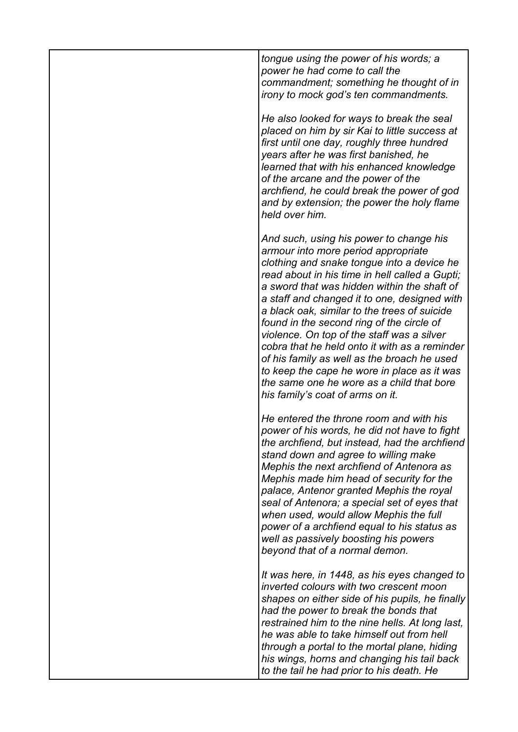*tongue using the power of his words; a power he had come to call the commandment; something he thought of in irony to mock god's ten commandments.*

*He also looked for ways to break the seal placed on him by sir Kai to little success at first until one day, roughly three hundred years after he was first banished, he learned that with his enhanced knowledge of the arcane and the power of the archfiend, he could break the power of god and by extension; the power the holy flame held over him.*

*And such, using his power to change his armour into more period appropriate clothing and snake tongue into a device he read about in his time in hell called a Gupti; a sword that was hidden within the shaft of a staff and changed it to one, designed with a black oak, similar to the trees of suicide found in the second ring of the circle of violence. On top of the staff was a silver cobra that he held onto it with as a reminder of his family as well as the broach he used to keep the cape he wore in place as it was the same one he wore as a child that bore his family's coat of arms on it.*

*He entered the throne room and with his power of his words, he did not have to fight the archfiend, but instead, had the archfiend stand down and agree to willing make Mephis the next archfiend of Antenora as Mephis made him head of security for the palace, Antenor granted Mephis the royal seal of Antenora; a special set of eyes that when used, would allow Mephis the full power of a archfiend equal to his status as well as passively boosting his powers beyond that of a normal demon.*

*It was here, in 1448, as his eyes changed to inverted colours with two crescent moon shapes on either side of his pupils, he finally had the power to break the bonds that restrained him to the nine hells. At long last, he was able to take himself out from hell through a portal to the mortal plane, hiding his wings, horns and changing his tail back to the tail he had prior to his death. He*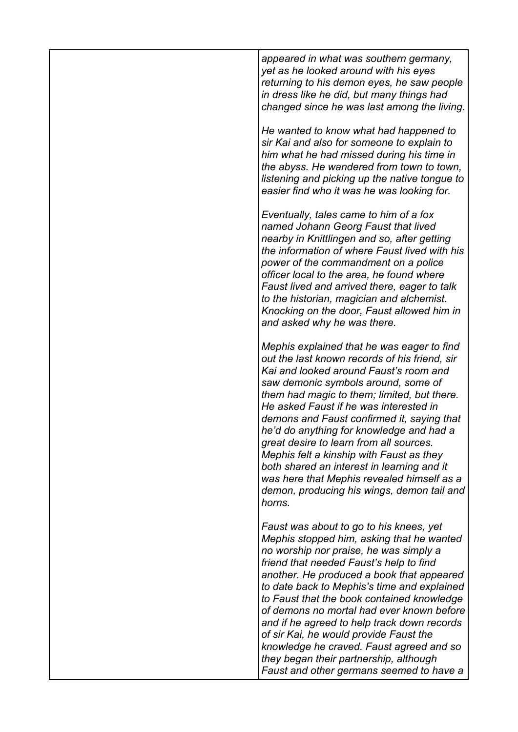*appeared in what was southern germany, yet as he looked around with his eyes returning to his demon eyes, he saw people in dress like he did, but many things had changed since he was last among the living.*

*He wanted to know what had happened to sir Kai and also for someone to explain to him what he had missed during his time in the abyss. He wandered from town to town, listening and picking up the native tongue to easier find who it was he was looking for.*

*Eventually, tales came to him of a fox named Johann Georg Faust that lived nearby in Knittlingen and so, after getting the information of where Faust lived with his power of the commandment on a police officer local to the area, he found where Faust lived and arrived there, eager to talk to the historian, magician and alchemist. Knocking on the door, Faust allowed him in and asked why he was there.*

*Mephis explained that he was eager to find out the last known records of his friend, sir Kai and looked around Faust's room and saw demonic symbols around, some of them had magic to them; limited, but there. He asked Faust if he was interested in demons and Faust confirmed it, saying that he'd do anything for knowledge and had a great desire to learn from all sources. Mephis felt a kinship with Faust as they both shared an interest in learning and it was here that Mephis revealed himself as a demon, producing his wings, demon tail and horns.*

*Faust was about to go to his knees, yet Mephis stopped him, asking that he wanted no worship nor praise, he was simply a friend that needed Faust's help to find another. He produced a book that appeared to date back to Mephis's time and explained to Faust that the book contained knowledge of demons no mortal had ever known before and if he agreed to help track down records of sir Kai, he would provide Faust the knowledge he craved. Faust agreed and so they began their partnership, although Faust and other germans seemed to have a*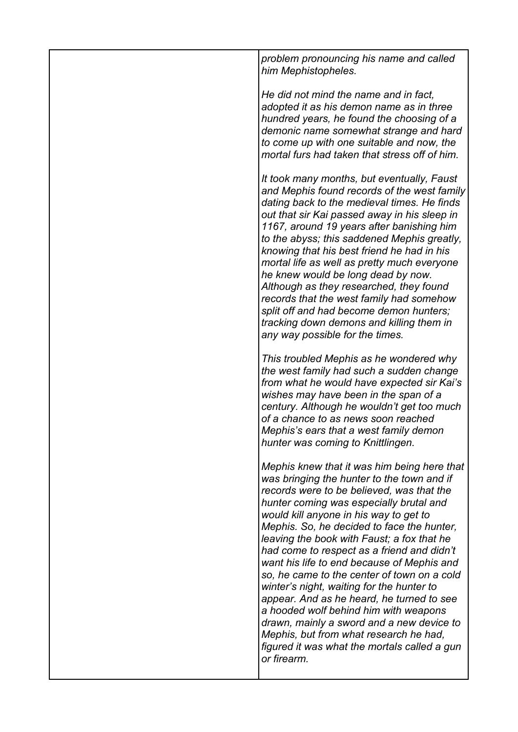| problem pronouncing his name and called<br>him Mephistopheles.                                                                                                                                                                                                                                                                                                                                                                                                                                                                                                                                                                                                                                                                                              |
|-------------------------------------------------------------------------------------------------------------------------------------------------------------------------------------------------------------------------------------------------------------------------------------------------------------------------------------------------------------------------------------------------------------------------------------------------------------------------------------------------------------------------------------------------------------------------------------------------------------------------------------------------------------------------------------------------------------------------------------------------------------|
| He did not mind the name and in fact,<br>adopted it as his demon name as in three<br>hundred years, he found the choosing of a<br>demonic name somewhat strange and hard<br>to come up with one suitable and now, the<br>mortal furs had taken that stress off of him.                                                                                                                                                                                                                                                                                                                                                                                                                                                                                      |
| It took many months, but eventually, Faust<br>and Mephis found records of the west family<br>dating back to the medieval times. He finds<br>out that sir Kai passed away in his sleep in<br>1167, around 19 years after banishing him<br>to the abyss; this saddened Mephis greatly,<br>knowing that his best friend he had in his<br>mortal life as well as pretty much everyone<br>he knew would be long dead by now.<br>Although as they researched, they found<br>records that the west family had somehow<br>split off and had become demon hunters;<br>tracking down demons and killing them in<br>any way possible for the times.                                                                                                                    |
| This troubled Mephis as he wondered why<br>the west family had such a sudden change<br>from what he would have expected sir Kai's<br>wishes may have been in the span of a<br>century. Although he wouldn't get too much<br>of a chance to as news soon reached<br>Mephis's ears that a west family demon<br>hunter was coming to Knittlingen.                                                                                                                                                                                                                                                                                                                                                                                                              |
| Mephis knew that it was him being here that<br>was bringing the hunter to the town and if<br>records were to be believed, was that the<br>hunter coming was especially brutal and<br>would kill anyone in his way to get to<br>Mephis. So, he decided to face the hunter,<br>leaving the book with Faust; a fox that he<br>had come to respect as a friend and didn't<br>want his life to end because of Mephis and<br>so, he came to the center of town on a cold<br>winter's night, waiting for the hunter to<br>appear. And as he heard, he turned to see<br>a hooded wolf behind him with weapons<br>drawn, mainly a sword and a new device to<br>Mephis, but from what research he had,<br>figured it was what the mortals called a gun<br>or firearm. |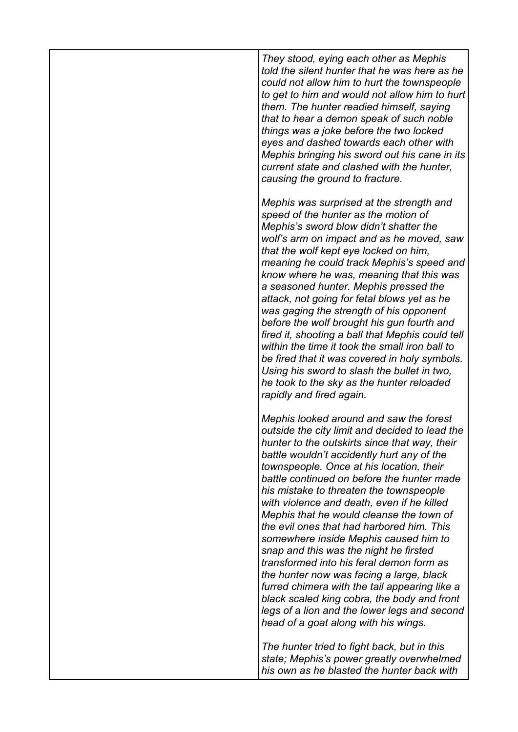*They stood, eying each other as Mephis told the silent hunter that he was here as he could not allow him to hurt the townspeople to get to him and would not allow him to hurt them. The hunter readied himself, saying that to hear a demon speak of such noble things was a joke before the two locked eyes and dashed towards each other with Mephis bringing his sword out his cane in its current state and clashed with the hunter, causing the ground to fracture.*

*Mephis was surprised at the strength and speed of the hunter as the motion of Mephis's sword blow didn't shatter the wolf's arm on impact and as he moved, saw that the wolf kept eye locked on him, meaning he could track Mephis's speed and know where he was, meaning that this was a seasoned hunter. Mephis pressed the attack, not going for fetal blows yet as he was gaging the strength of his opponent before the wolf brought his gun fourth and fired it, shooting a ball that Mephis could tell within the time it took the small iron ball to be fired that it was covered in holy symbols. Using his sword to slash the bullet in two, he took to the sky as the hunter reloaded rapidly and fired again.*

*Mephis looked around and saw the forest outside the city limit and decided to lead the hunter to the outskirts since that way, their battle wouldn't accidently hurt any of the townspeople. Once at his location, their battle continued on before the hunter made his mistake to threaten the townspeople with violence and death, even if he killed Mephis that he would cleanse the town of the evil ones that had harbored him. This somewhere inside Mephis caused him to snap and this was the night he firsted transformed into his feral demon form as the hunter now was facing a large, black furred chimera with the tail appearing like a black scaled king cobra, the body and front legs of a lion and the lower legs and second head of a goat along with his wings.*

*The hunter tried to fight back, but in this state; Mephis's power greatly overwhelmed his own as he blasted the hunter back with*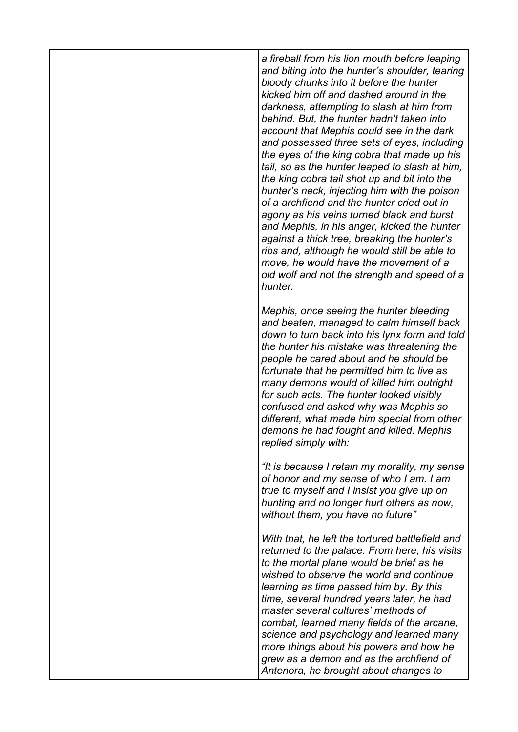*a fireball from his lion mouth before leaping and biting into the hunter's shoulder, tearing bloody chunks into it before the hunter kicked him off and dashed around in the darkness, attempting to slash at him from behind. But, the hunter hadn't taken into account that Mephis could see in the dark and possessed three sets of eyes, including the eyes of the king cobra that made up his tail, so as the hunter leaped to slash at him, the king cobra tail shot up and bit into the hunter's neck, injecting him with the poison of a archfiend and the hunter cried out in agony as his veins turned black and burst and Mephis, in his anger, kicked the hunter against a thick tree, breaking the hunter's ribs and, although he would still be able to move, he would have the movement of a old wolf and not the strength and speed of a hunter.*

*Mephis, once seeing the hunter bleeding and beaten, managed to calm himself back down to turn back into his lynx form and told the hunter his mistake was threatening the people he cared about and he should be fortunate that he permitted him to live as many demons would of killed him outright for such acts. The hunter looked visibly confused and asked why was Mephis so different, what made him special from other demons he had fought and killed. Mephis replied simply with:*

*"It is because I retain my morality, my sense of honor and my sense of who I am. I am true to myself and I insist you give up on hunting and no longer hurt others as now, without them, you have no future"* 

*With that, he left the tortured battlefield and returned to the palace. From here, his visits to the mortal plane would be brief as he wished to observe the world and continue learning as time passed him by. By this time, several hundred years later, he had master several cultures' methods of combat, learned many fields of the arcane, science and psychology and learned many more things about his powers and how he grew as a demon and as the archfiend of Antenora, he brought about changes to*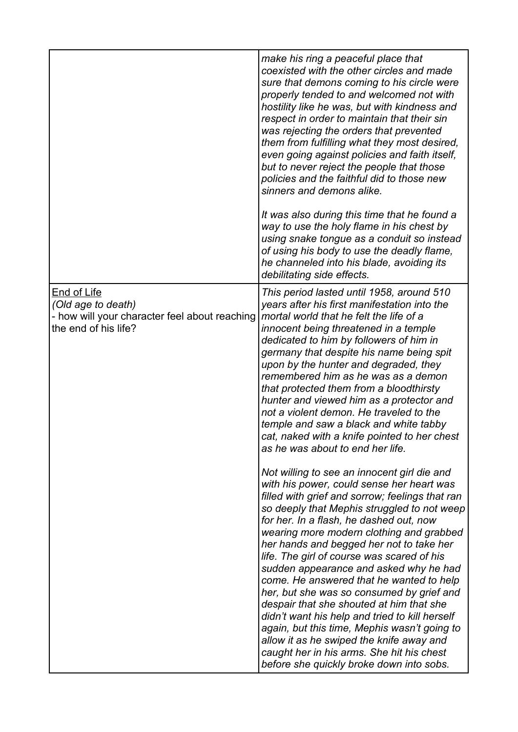|                                                                                                                   | make his ring a peaceful place that<br>coexisted with the other circles and made<br>sure that demons coming to his circle were<br>properly tended to and welcomed not with<br>hostility like he was, but with kindness and<br>respect in order to maintain that their sin<br>was rejecting the orders that prevented<br>them from fulfilling what they most desired,<br>even going against policies and faith itself,<br>but to never reject the people that those<br>policies and the faithful did to those new<br>sinners and demons alike.                                                                                                                                                                                                                                                     |
|-------------------------------------------------------------------------------------------------------------------|---------------------------------------------------------------------------------------------------------------------------------------------------------------------------------------------------------------------------------------------------------------------------------------------------------------------------------------------------------------------------------------------------------------------------------------------------------------------------------------------------------------------------------------------------------------------------------------------------------------------------------------------------------------------------------------------------------------------------------------------------------------------------------------------------|
|                                                                                                                   | It was also during this time that he found a<br>way to use the holy flame in his chest by<br>using snake tongue as a conduit so instead<br>of using his body to use the deadly flame,<br>he channeled into his blade, avoiding its<br>debilitating side effects.                                                                                                                                                                                                                                                                                                                                                                                                                                                                                                                                  |
| <b>End of Life</b><br>(Old age to death)<br>- how will your character feel about reaching<br>the end of his life? | This period lasted until 1958, around 510<br>years after his first manifestation into the<br>mortal world that he felt the life of a<br>innocent being threatened in a temple<br>dedicated to him by followers of him in<br>germany that despite his name being spit<br>upon by the hunter and degraded, they<br>remembered him as he was as a demon<br>that protected them from a bloodthirsty<br>hunter and viewed him as a protector and<br>not a violent demon. He traveled to the<br>temple and saw a black and white tabby<br>cat, naked with a knife pointed to her chest<br>as he was about to end her life.                                                                                                                                                                              |
|                                                                                                                   | Not willing to see an innocent girl die and<br>with his power, could sense her heart was<br>filled with grief and sorrow; feelings that ran<br>so deeply that Mephis struggled to not weep<br>for her. In a flash, he dashed out, now<br>wearing more modern clothing and grabbed<br>her hands and begged her not to take her<br>life. The girl of course was scared of his<br>sudden appearance and asked why he had<br>come. He answered that he wanted to help<br>her, but she was so consumed by grief and<br>despair that she shouted at him that she<br>didn't want his help and tried to kill herself<br>again, but this time, Mephis wasn't going to<br>allow it as he swiped the knife away and<br>caught her in his arms. She hit his chest<br>before she quickly broke down into sobs. |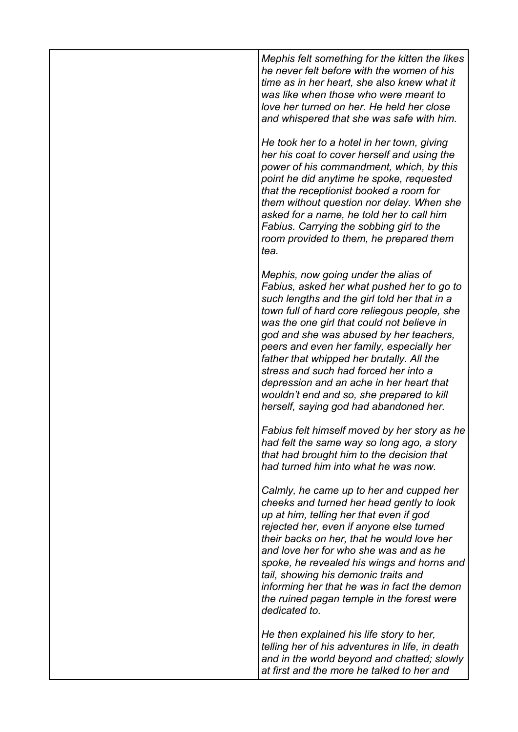*Mephis felt something for the kitten the likes he never felt before with the women of his time as in her heart, she also knew what it was like when those who were meant to love her turned on her. He held her close and whispered that she was safe with him.*

*He took her to a hotel in her town, giving her his coat to cover herself and using the power of his commandment, which, by this point he did anytime he spoke, requested that the receptionist booked a room for them without question nor delay. When she asked for a name, he told her to call him Fabius. Carrying the sobbing girl to the room provided to them, he prepared them tea.*

*Mephis, now going under the alias of Fabius, asked her what pushed her to go to such lengths and the girl told her that in a town full of hard core reliegous people, she was the one girl that could not believe in god and she was abused by her teachers, peers and even her family, especially her father that whipped her brutally. All the stress and such had forced her into a depression and an ache in her heart that wouldn't end and so, she prepared to kill herself, saying god had abandoned her.*

*Fabius felt himself moved by her story as he had felt the same way so long ago, a story that had brought him to the decision that had turned him into what he was now.*

*Calmly, he came up to her and cupped her cheeks and turned her head gently to look up at him, telling her that even if god rejected her, even if anyone else turned their backs on her, that he would love her and love her for who she was and as he spoke, he revealed his wings and horns and tail, showing his demonic traits and informing her that he was in fact the demon the ruined pagan temple in the forest were dedicated to.*

*He then explained his life story to her, telling her of his adventures in life, in death and in the world beyond and chatted; slowly at first and the more he talked to her and*